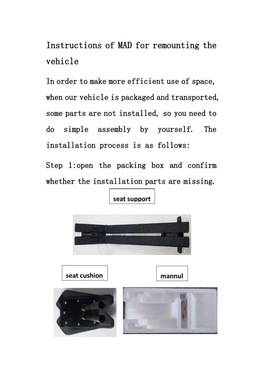Instructions of MAD for remounting the vehicle

In order to make more efficient use of space, when our vehicle is packaged and transported, some parts are not installed, so you need to do simple assembly by yourself. The installation process is as follows:

Step 1:open the packing box and confirm whether the installation parts are missing.



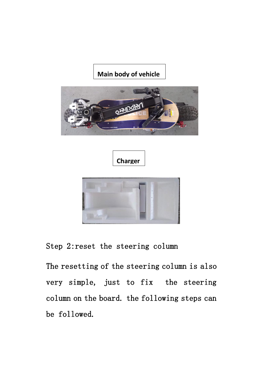## **Main body of vehicle**





## Step 2:reset the steering column

The resetting of the steering column is also very simple, just to fix the steering column on the board. the following steps can be followed.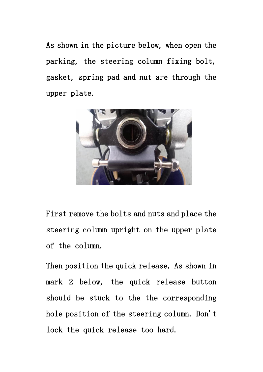As shown in the picture below, when open the parking, the steering column fixing bolt, gasket, spring pad and nut are through the upper plate.



First remove the bolts and nuts and place the steering column upright on the upper plate of the column.

Then position the quick release. As shown in mark 2 below, the quick release button should be stuck to the the corresponding hole position of the steering column. Don't lock the quick release too hard.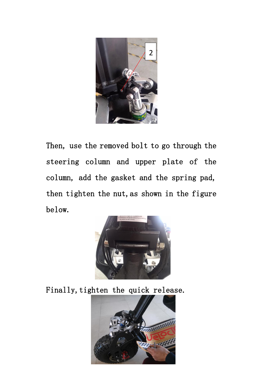

Then, use the removed bolt to go through the steering column and upper plate of the column, add the gasket and the spring pad, then tighten the nut,as shown in the figure below.



Finally, tighten the quick release.

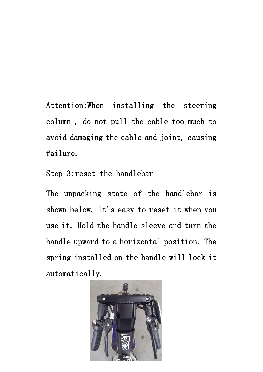Attention:When installing the steering column , do not pull the cable too much to avoid damaging the cable and joint, causing failure.

Step 3:reset the handlebar

The unpacking state of the handlebar is shown below. It's easy to reset it when you use it. Hold the handle sleeve and turn the handle upward to a horizontal position. The spring installed on the handle will lock it automatically.

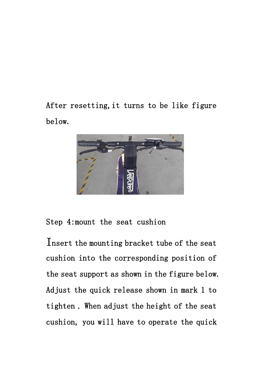After resetting,it turns to be like figure below.



Step 4:mount the seat cushion

Insert the mounting bracket tube of the seat cushion into the corresponding position of the seat support as shown in the figure below. Adjust the quick release shown in mark 1 to tighten . When adjust the height of the seat cushion, you will have to operate the quick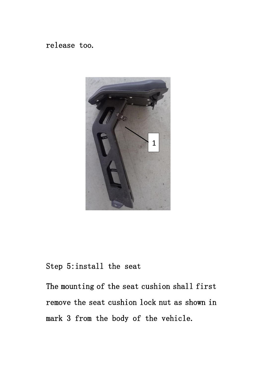## release too.



# Step 5:install the seat

The mounting of the seat cushion shall first remove the seat cushion lock nut as shown in mark 3 from the body of the vehicle.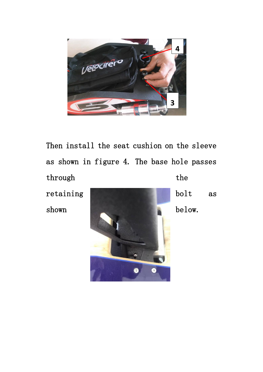

Then install the seat cushion on the sleeve as shown in figure 4. The base hole passes through the the state of the state of the state of the state of the state of the state of the state of the state of the state of the state of the state of the state of the state of the state of the state of the state of th retaining **bolt** as shown below.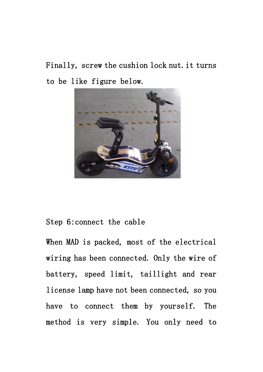Finally, screw the cushion lock nut.it turns to be like figure below.



### Step 6:connect the cable

When MAD is packed, most of the electrical wiring has been connected. Only the wire of battery, speed limit, taillight and rear license lamp have not been connected, so you have to connect them by yourself. The method is very simple. You only need to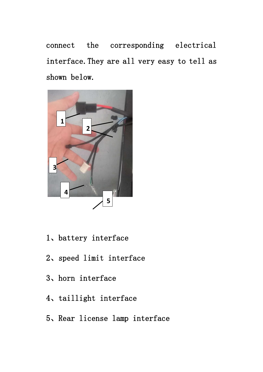connect the corresponding electrical interface.They are all very easy to tell as shown below.



- 、battery interface
- 、speed limit interface
- 、horn interface
- 、taillight interface
- 、Rear license lamp interface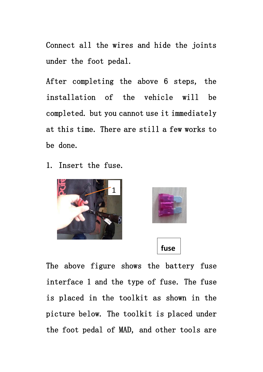Connect all the wires and hide the joints under the foot pedal.

After completing the above 6 steps, the installation of the vehicle will be completed. but you cannot use it immediately at this time. There are still a few works to be done.

1. Insert the fuse.







The above figure shows the battery fuse interface 1 and the type of fuse. The fuse is placed in the toolkit as shown in the picture below. The toolkit is placed under the foot pedal of MAD, and other tools are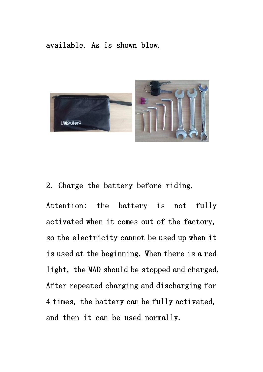#### available. As is shown blow.



#### 2. Charge the battery before riding.

Attention: the battery is not fully activated when it comes out of the factory, so the electricity cannot be used up when it is used at the beginning. When there is a red light, the MAD should be stopped and charged. After repeated charging and discharging for 4 times, the battery can be fully activated, and then it can be used normally.